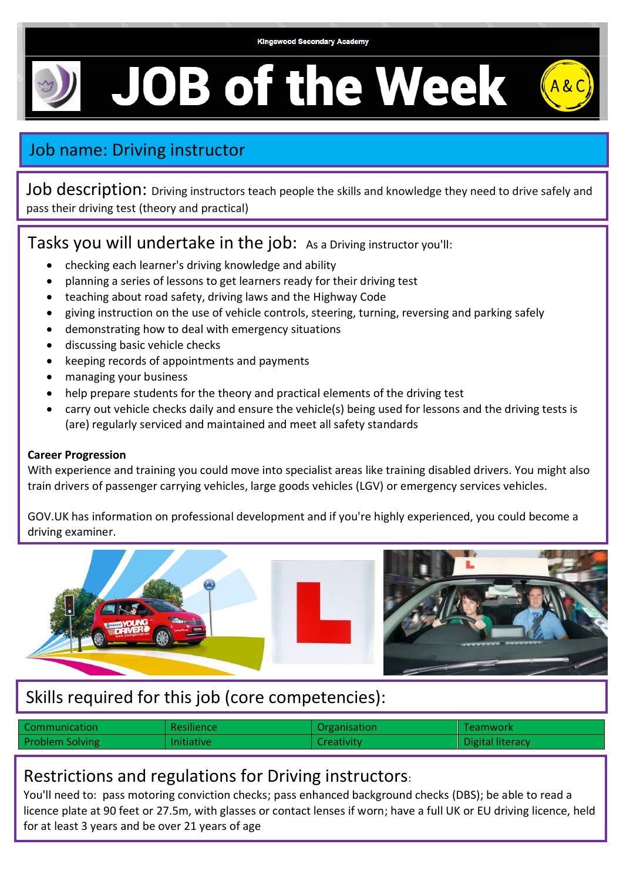# **JOB of the Week**



Job description: Driving instructors teach people the skills and knowledge they need to drive safely and pass their driving test (theory and practical)

#### Tasks you will undertake in the job: As a Driving instructor you'll:

- checking each learner's driving knowledge and ability
- planning a series of lessons to get learners ready for their driving test
- teaching about road safety, driving laws and the Highway Code
- giving instruction on the use of vehicle controls, steering, turning, reversing and parking safely
- demonstrating how to deal with emergency situations
- discussing basic vehicle checks
- keeping records of appointments and payments
- managing your business
- help prepare students for the theory and practical elements of the driving test
- carry out vehicle checks daily and ensure the vehicle(s) being used for lessons and the driving tests is (are) regularly serviced and maintained and meet all safety standards

#### **Career Progression**

With experience and training you could move into specialist areas like training disabled drivers. You might also train drivers of passenger carrying vehicles, large goods vehicles (LGV) or emergency services vehicles.

GOV.UK has information on professional development and if you're highly experienced, you could become a driving examiner.



## Skills required for this job (core competencies):

| <b>Communication</b>   | <b>Resilience</b> | <b>Organisation</b> | Teamwork         |
|------------------------|-------------------|---------------------|------------------|
| <b>Problem Solving</b> | <b>Initiative</b> | Creativity          | Digital literacy |

#### Restrictions and regulations for Driving instructors:

You'll need to: pass motoring conviction checks; pass enhanced background checks (DBS); be able to read a licence plate at 90 feet or 27.5m, with glasses or contact lenses if worn; have a full UK or EU driving licence, held for at least 3 years and be over 21 years of age